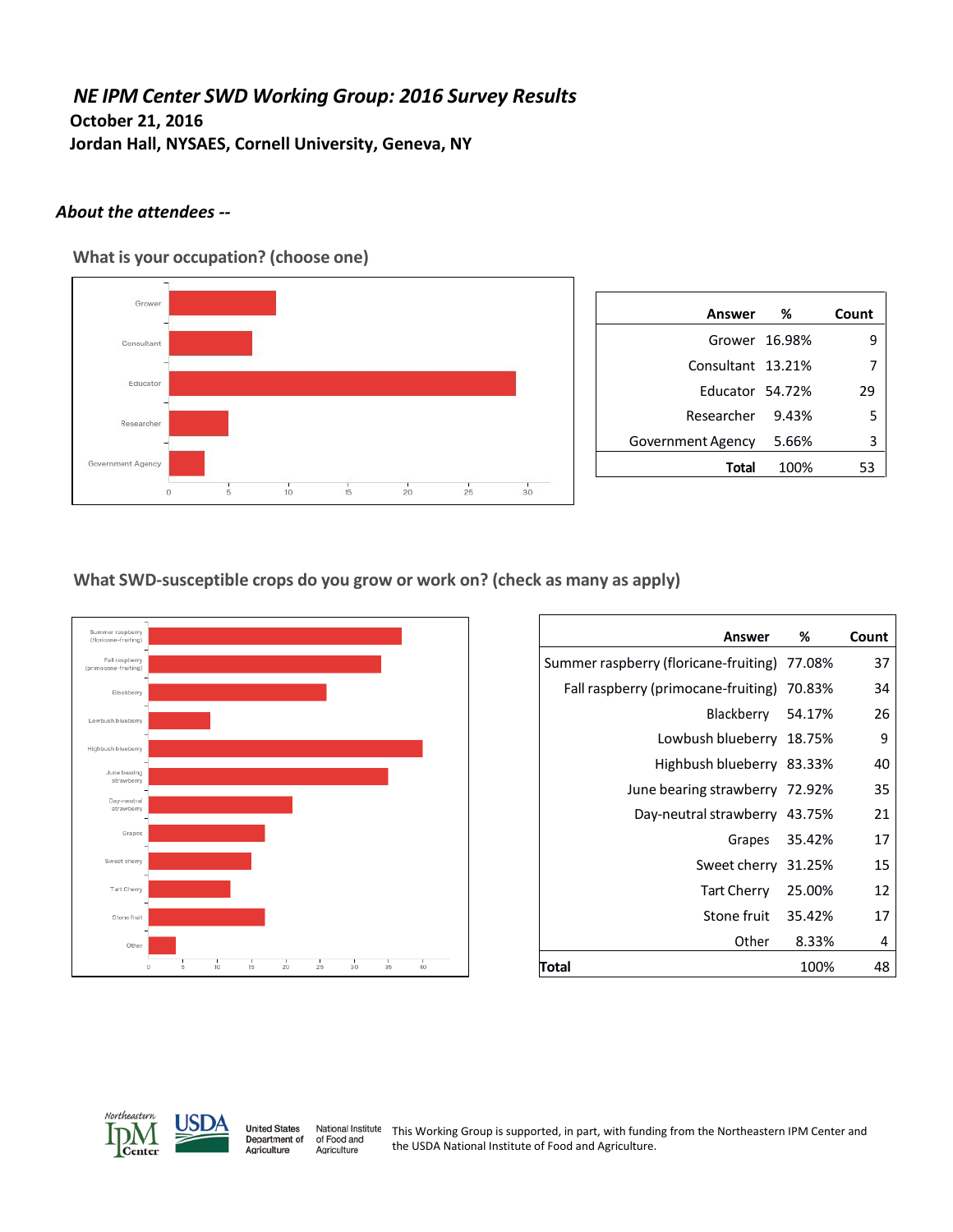# *NE IPM Center SWD Working Group: 2016 Survey Results* **October 21, 2016 Jordan Hall, NYSAES, Cornell University, Geneva, NY**

# *About the attendees --*

**What is your occupation? (choose one)**



| Answer            | %     | Count |
|-------------------|-------|-------|
| Grower 16.98%     |       | g     |
| Consultant 13.21% |       |       |
| Educator 54.72%   |       | 29    |
| Researcher 9.43%  |       | 5     |
| Government Agency | 5.66% | 3     |
| Total             | 100%  | 53    |

**What SWD-susceptible crops do you grow or work on? (check as many as apply)**



| Answer                                       | %      | Count |
|----------------------------------------------|--------|-------|
| Summer raspberry (floricane-fruiting) 77.08% |        | 37    |
| Fall raspberry (primocane-fruiting) 70.83%   |        | 34    |
| Blackberry 54.17%                            |        | 26    |
| Lowbush blueberry 18.75%                     |        | 9     |
| Highbush blueberry 83.33%                    |        | 40    |
| June bearing strawberry 72.92%               |        | 35    |
| Day-neutral strawberry 43.75%                |        | 21    |
| Grapes                                       | 35.42% | 17    |
| Sweet cherry 31.25%                          |        | 15    |
| Tart Cherry 25.00%                           |        | 12    |
| Stone fruit 35.42%                           |        | 17    |
| Other                                        | 8.33%  | 4     |
| Total                                        | 100%   | 48    |



National Institute<br>of Food and This Working Group is supported, in part, with funding from the Northeastern IPM Center and the USDA National Institute of Food and Agriculture.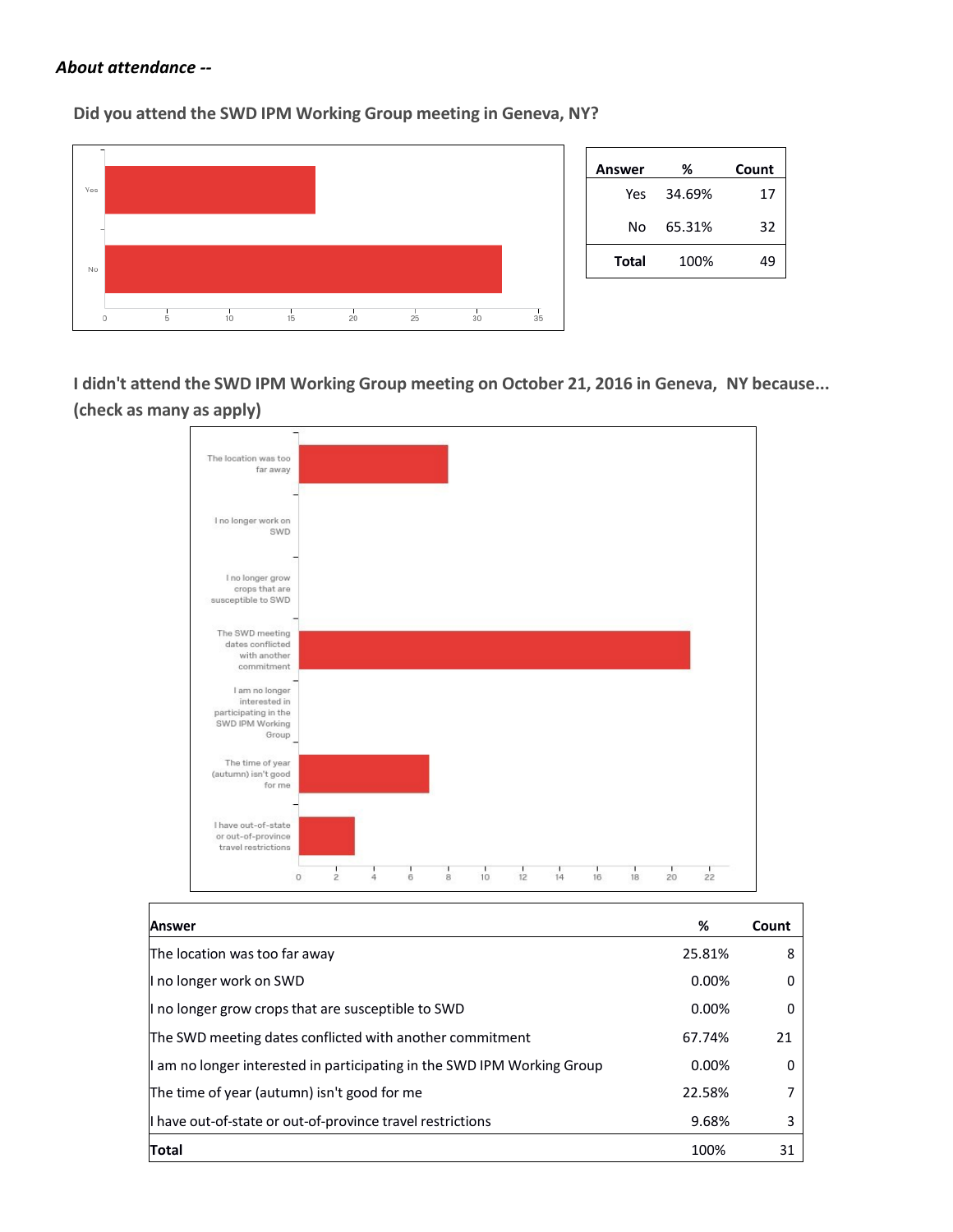#### *About attendance --*

 $\mathbf{r}$ 

**Did you attend the SWD IPM Working Group meeting in Geneva, NY?**



**I didn't attend the SWD IPM Working Group meeting on October 21, 2016 in Geneva, NY because... (check as many as apply)**



| <b>Answer</b>                                                           | %      | Count |
|-------------------------------------------------------------------------|--------|-------|
| The location was too far away                                           | 25.81% | 8     |
| I no longer work on SWD                                                 | 0.00%  |       |
| I no longer grow crops that are susceptible to SWD                      | 0.00%  | 0     |
| The SWD meeting dates conflicted with another commitment                | 67.74% | 21    |
| I am no longer interested in participating in the SWD IPM Working Group | 0.00%  | 0     |
| The time of year (autumn) isn't good for me                             | 22.58% |       |
| I have out-of-state or out-of-province travel restrictions              | 9.68%  | 3     |
| <b>Total</b>                                                            | 100%   | 31    |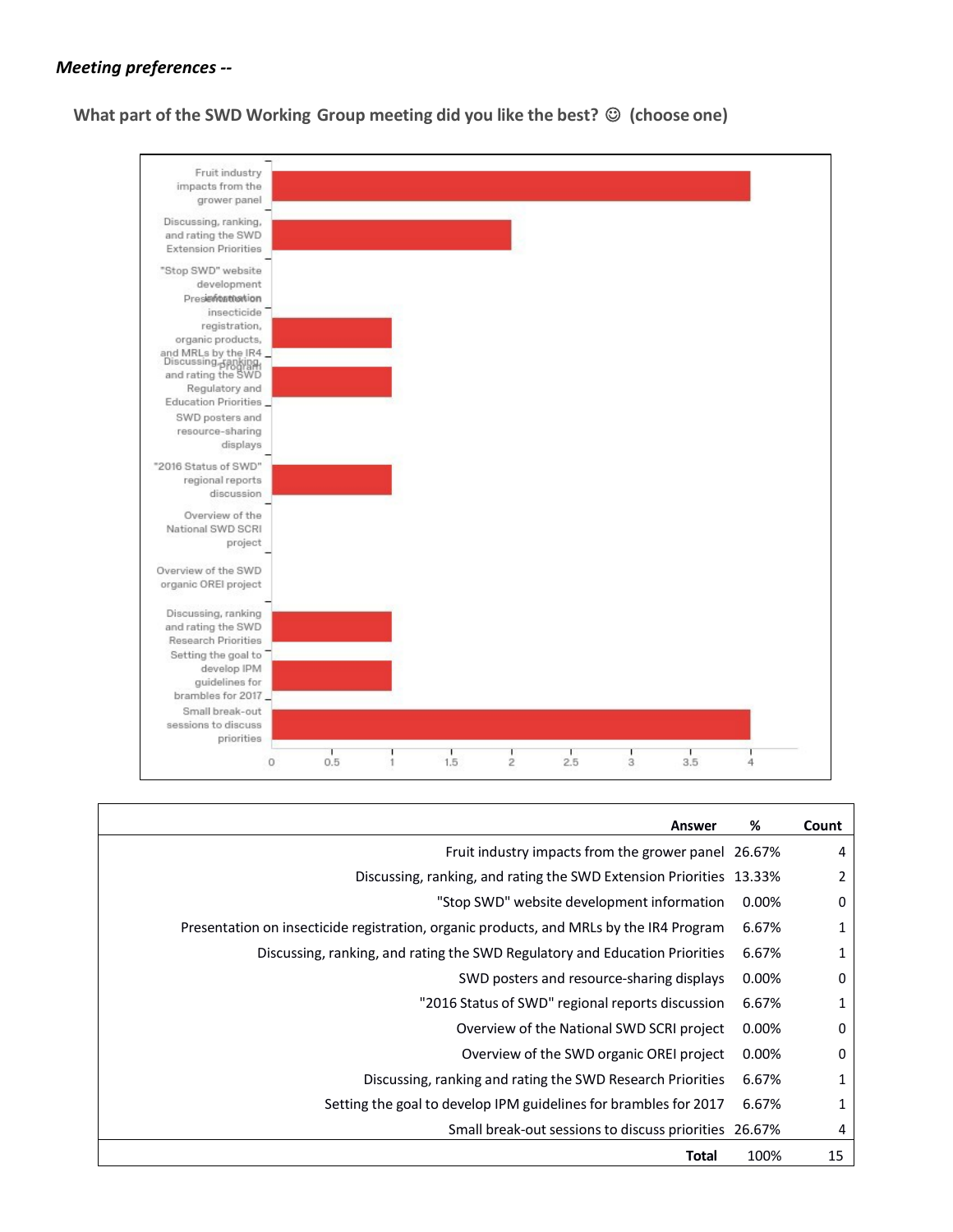# *Meeting preferences --*





| Answer                                                                                  | %     | Count |
|-----------------------------------------------------------------------------------------|-------|-------|
| Fruit industry impacts from the grower panel 26.67%                                     |       | 4     |
| Discussing, ranking, and rating the SWD Extension Priorities 13.33%                     |       | 2     |
| "Stop SWD" website development information                                              | 0.00% | 0     |
| Presentation on insecticide registration, organic products, and MRLs by the IR4 Program | 6.67% | 1     |
| Discussing, ranking, and rating the SWD Regulatory and Education Priorities             | 6.67% | 1     |
| SWD posters and resource-sharing displays                                               | 0.00% | 0     |
| "2016 Status of SWD" regional reports discussion                                        | 6.67% | 1     |
| Overview of the National SWD SCRI project                                               | 0.00% | 0     |
| Overview of the SWD organic OREI project                                                | 0.00% | 0     |
| Discussing, ranking and rating the SWD Research Priorities                              | 6.67% | 1     |
| Setting the goal to develop IPM guidelines for brambles for 2017                        | 6.67% | 1     |
| Small break-out sessions to discuss priorities 26.67%                                   |       | 4     |
| Total                                                                                   | 100%  | 15    |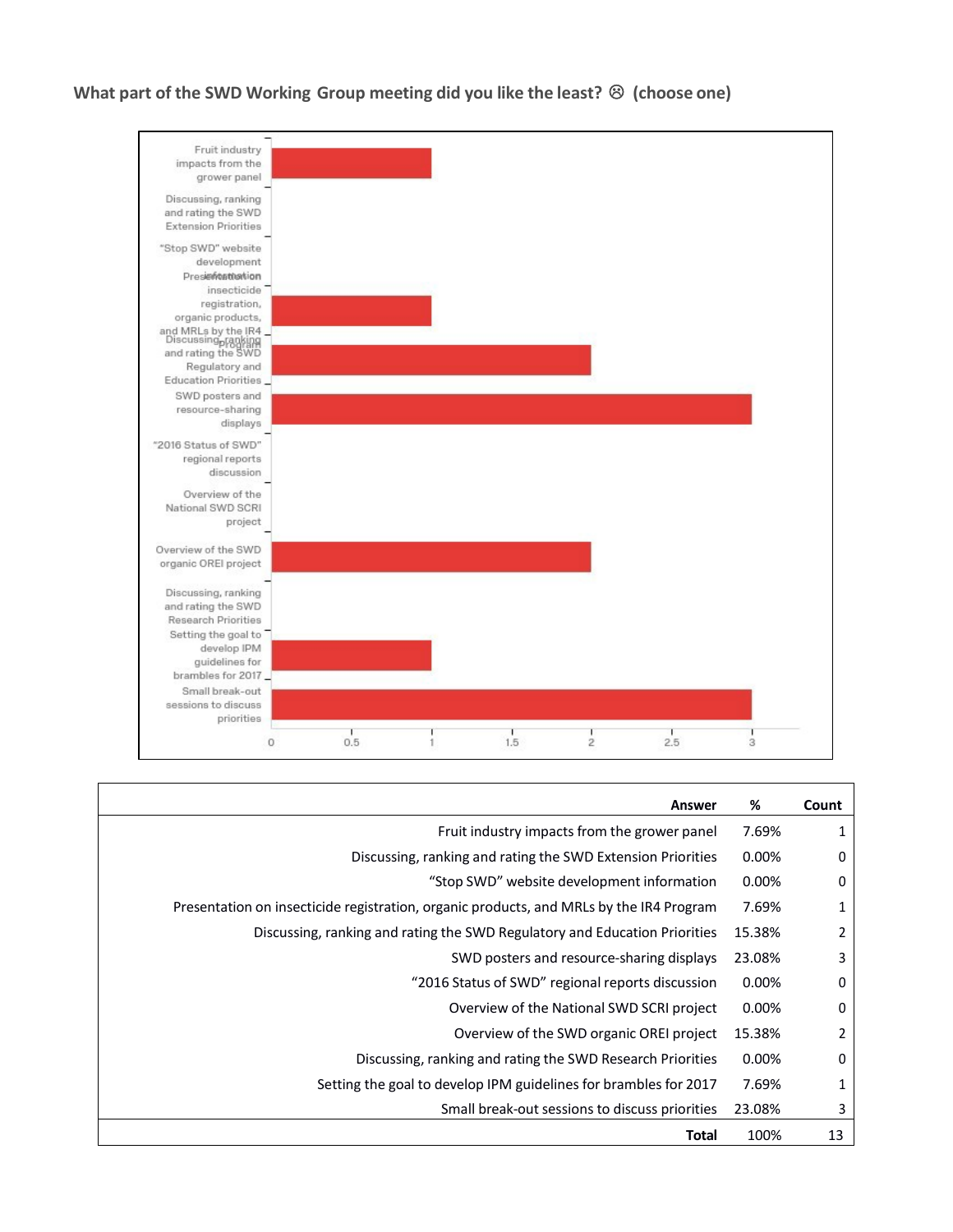**What part of the SWD Working Group meeting did you like the least? (choose one)**



| Answer                                                                                  | %      | Count |
|-----------------------------------------------------------------------------------------|--------|-------|
| Fruit industry impacts from the grower panel                                            | 7.69%  |       |
| Discussing, ranking and rating the SWD Extension Priorities                             | 0.00%  | 0     |
| "Stop SWD" website development information                                              | 0.00%  | 0     |
| Presentation on insecticide registration, organic products, and MRLs by the IR4 Program | 7.69%  | 1     |
| Discussing, ranking and rating the SWD Regulatory and Education Priorities              | 15.38% | 2     |
| SWD posters and resource-sharing displays                                               | 23.08% | 3     |
| "2016 Status of SWD" regional reports discussion                                        | 0.00%  | 0     |
| Overview of the National SWD SCRI project                                               | 0.00%  | 0     |
| Overview of the SWD organic OREI project                                                | 15.38% | 2     |
| Discussing, ranking and rating the SWD Research Priorities                              | 0.00%  | 0     |
| Setting the goal to develop IPM guidelines for brambles for 2017                        | 7.69%  | 1     |
| Small break-out sessions to discuss priorities                                          | 23.08% | 3     |
| Total                                                                                   | 100%   | 13    |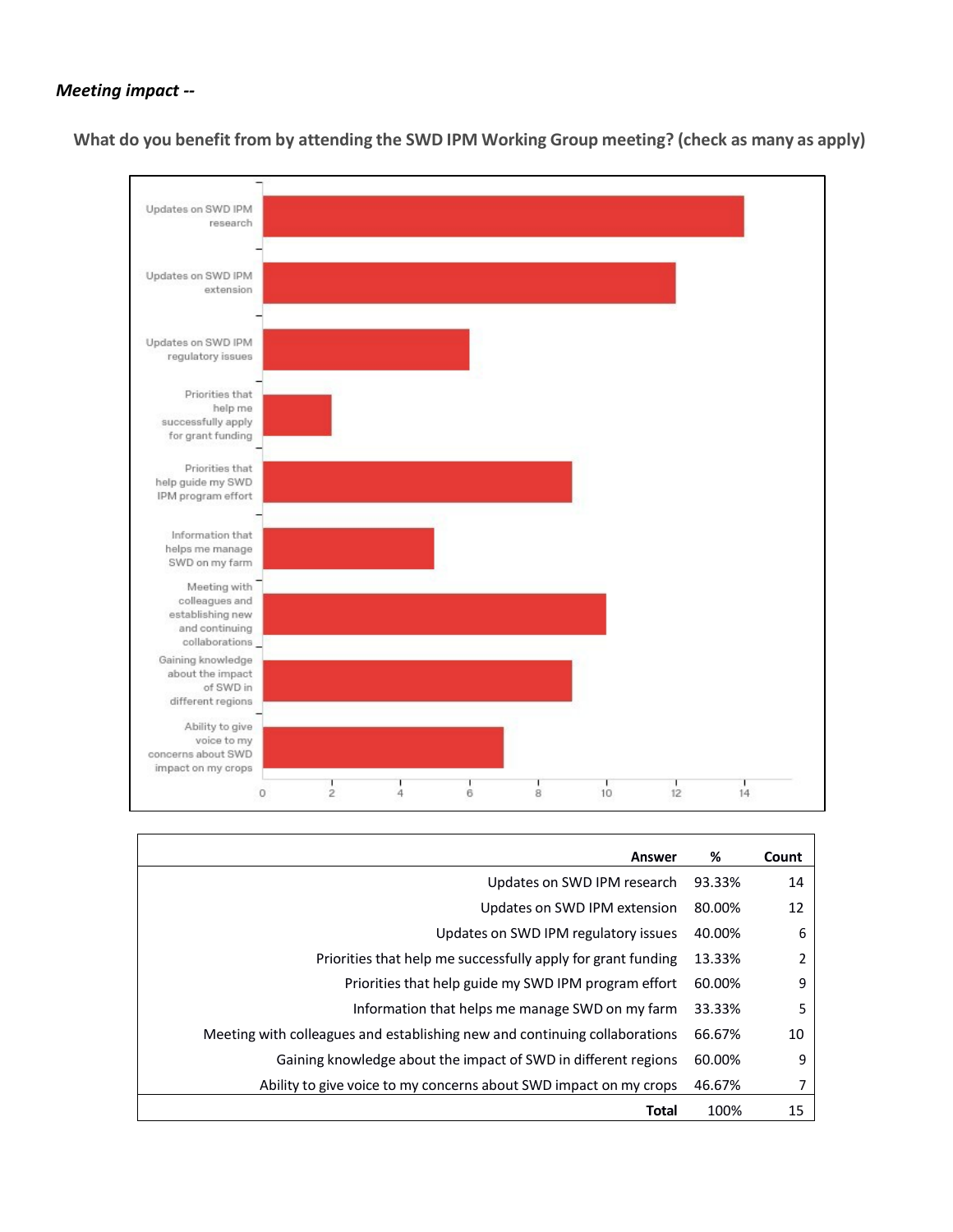#### *Meeting impact --*

**What do you benefit from by attending the SWD IPM Working Group meeting? (check as many as apply)**



| Answer                                                                     | %      | Count |
|----------------------------------------------------------------------------|--------|-------|
| Updates on SWD IPM research                                                | 93.33% | 14    |
| Updates on SWD IPM extension                                               | 80.00% | 12    |
| Updates on SWD IPM regulatory issues                                       | 40.00% | 6     |
| Priorities that help me successfully apply for grant funding               | 13.33% | 2     |
| Priorities that help guide my SWD IPM program effort                       | 60.00% | 9     |
| Information that helps me manage SWD on my farm                            | 33.33% | 5     |
| Meeting with colleagues and establishing new and continuing collaborations | 66.67% | 10    |
| Gaining knowledge about the impact of SWD in different regions             | 60.00% | 9     |
| Ability to give voice to my concerns about SWD impact on my crops          | 46.67% |       |
| Total                                                                      | 100%   | 15    |